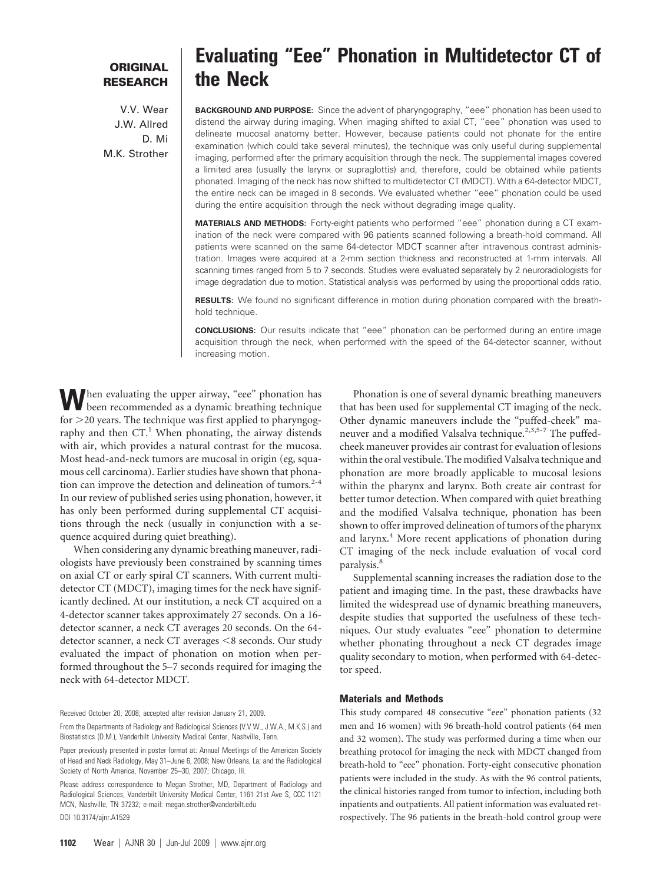# **ORIGINAL RESEARCH**

V.V. Wear J.W. Allred D. Mi M.K. Strother

# **Evaluating "Eee" Phonation in Multidetector CT of the Neck**

**BACKGROUND AND PURPOSE:** Since the advent of pharyngography, "eee" phonation has been used to distend the airway during imaging. When imaging shifted to axial CT, "eee" phonation was used to delineate mucosal anatomy better. However, because patients could not phonate for the entire examination (which could take several minutes), the technique was only useful during supplemental imaging, performed after the primary acquisition through the neck. The supplemental images covered a limited area (usually the larynx or supraglottis) and, therefore, could be obtained while patients phonated. Imaging of the neck has now shifted to multidetector CT (MDCT). With a 64-detector MDCT, the entire neck can be imaged in 8 seconds. We evaluated whether "eee" phonation could be used during the entire acquisition through the neck without degrading image quality.

**MATERIALS AND METHODS:** Forty-eight patients who performed "eee" phonation during a CT examination of the neck were compared with 96 patients scanned following a breath-hold command. All patients were scanned on the same 64-detector MDCT scanner after intravenous contrast administration. Images were acquired at a 2-mm section thickness and reconstructed at 1-mm intervals. All scanning times ranged from 5 to 7 seconds. Studies were evaluated separately by 2 neuroradiologists for image degradation due to motion. Statistical analysis was performed by using the proportional odds ratio.

**RESULTS:** We found no significant difference in motion during phonation compared with the breathhold technique.

**CONCLUSIONS:** Our results indicate that "eee" phonation can be performed during an entire image acquisition through the neck, when performed with the speed of the 64-detector scanner, without increasing motion.

**W**hen evaluating the upper airway, "eee" phonation has been recommended as a dynamic breathing technique for  $>$ 20 years. The technique was first applied to pharyngography and then  $CT<sup>1</sup>$ . When phonating, the airway distends with air, which provides a natural contrast for the mucosa. Most head-and-neck tumors are mucosal in origin (eg, squamous cell carcinoma). Earlier studies have shown that phonation can improve the detection and delineation of tumors. $2-4$ In our review of published series using phonation, however, it has only been performed during supplemental CT acquisitions through the neck (usually in conjunction with a sequence acquired during quiet breathing).

When considering any dynamic breathing maneuver, radiologists have previously been constrained by scanning times on axial CT or early spiral CT scanners. With current multidetector CT (MDCT), imaging times for the neck have significantly declined. At our institution, a neck CT acquired on a 4-detector scanner takes approximately 27 seconds. On a 16 detector scanner, a neck CT averages 20 seconds. On the 64 detector scanner, a neck CT averages <8 seconds. Our study evaluated the impact of phonation on motion when performed throughout the 5–7 seconds required for imaging the neck with 64-detector MDCT.

Received October 20, 2008; accepted after revision January 21, 2009.

From the Departments of Radiology and Radiological Sciences (V.V.W., J.W.A., M.K.S.) and Biostatistics (D.M.), Vanderbilt University Medical Center, Nashville, Tenn.

Paper previously presented in poster format at: Annual Meetings of the American Society of Head and Neck Radiology, May 31–June 6, 2008; New Orleans, La; and the Radiological Society of North America, November 25–30, 2007; Chicago, Ill.

Please address correspondence to Megan Strother, MD, Department of Radiology and Radiological Sciences, Vanderbilt University Medical Center, 1161 21st Ave S, CCC 1121 MCN, Nashville, TN 37232; e-mail: megan.strother@vanderbilt.edu DOI 10.3174/ajnr.A1529

Phonation is one of several dynamic breathing maneuvers that has been used for supplemental CT imaging of the neck. Other dynamic maneuvers include the "puffed-cheek" maneuver and a modified Valsalva technique.<sup>2,3,5-7</sup> The puffedcheek maneuver provides air contrast for evaluation of lesions within the oral vestibule. The modified Valsalva technique and phonation are more broadly applicable to mucosal lesions within the pharynx and larynx. Both create air contrast for better tumor detection. When compared with quiet breathing and the modified Valsalva technique, phonation has been shown to offer improved delineation of tumors of the pharynx and larynx.<sup>4</sup> More recent applications of phonation during CT imaging of the neck include evaluation of vocal cord paralysis.<sup>8</sup>

Supplemental scanning increases the radiation dose to the patient and imaging time. In the past, these drawbacks have limited the widespread use of dynamic breathing maneuvers, despite studies that supported the usefulness of these techniques. Our study evaluates "eee" phonation to determine whether phonating throughout a neck CT degrades image quality secondary to motion, when performed with 64-detector speed.

#### **Materials and Methods**

This study compared 48 consecutive "eee" phonation patients (32 men and 16 women) with 96 breath-hold control patients (64 men and 32 women). The study was performed during a time when our breathing protocol for imaging the neck with MDCT changed from breath-hold to "eee" phonation. Forty-eight consecutive phonation patients were included in the study. As with the 96 control patients, the clinical histories ranged from tumor to infection, including both inpatients and outpatients. All patient information was evaluated retrospectively. The 96 patients in the breath-hold control group were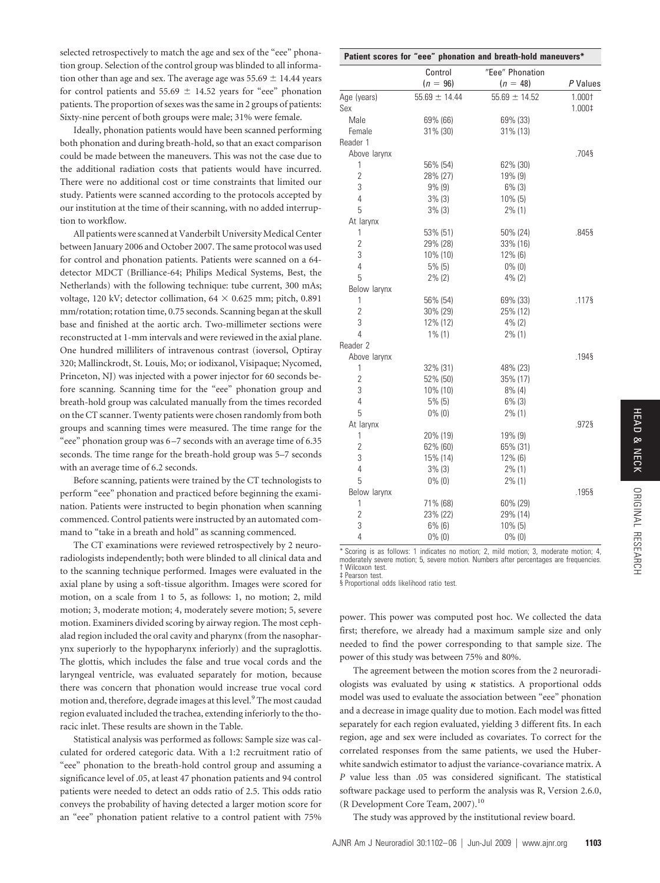selected retrospectively to match the age and sex of the "eee" phonation group. Selection of the control group was blinded to all information other than age and sex. The average age was  $55.69 \pm 14.44$  years for control patients and 55.69  $\pm$  14.52 years for "eee" phonation patients. The proportion of sexes was the same in 2 groups of patients: Sixty-nine percent of both groups were male; 31% were female.

Ideally, phonation patients would have been scanned performing both phonation and during breath-hold, so that an exact comparison could be made between the maneuvers. This was not the case due to the additional radiation costs that patients would have incurred. There were no additional cost or time constraints that limited our study. Patients were scanned according to the protocols accepted by our institution at the time of their scanning, with no added interruption to workflow.

All patients were scanned at Vanderbilt University Medical Center between January 2006 and October 2007. The same protocol was used for control and phonation patients. Patients were scanned on a 64 detector MDCT (Brilliance-64; Philips Medical Systems, Best, the Netherlands) with the following technique: tube current, 300 mAs; voltage, 120 kV; detector collimation,  $64 \times 0.625$  mm; pitch, 0.891 mm/rotation; rotation time, 0.75 seconds. Scanning began at the skull base and finished at the aortic arch. Two-millimeter sections were reconstructed at 1-mm intervals and were reviewed in the axial plane. One hundred milliliters of intravenous contrast (ioversol, Optiray 320; Mallinckrodt, St. Louis, Mo; or iodixanol, Visipaque; Nycomed, Princeton, NJ) was injected with a power injector for 60 seconds before scanning. Scanning time for the "eee" phonation group and breath-hold group was calculated manually from the times recorded on the CT scanner. Twenty patients were chosen randomly from both groups and scanning times were measured. The time range for the "eee" phonation group was 6 –7 seconds with an average time of 6.35 seconds. The time range for the breath-hold group was 5–7 seconds with an average time of 6.2 seconds.

Before scanning, patients were trained by the CT technologists to perform "eee" phonation and practiced before beginning the examination. Patients were instructed to begin phonation when scanning commenced. Control patients were instructed by an automated command to "take in a breath and hold" as scanning commenced.

The CT examinations were reviewed retrospectively by 2 neuroradiologists independently; both were blinded to all clinical data and to the scanning technique performed. Images were evaluated in the axial plane by using a soft-tissue algorithm. Images were scored for motion, on a scale from 1 to 5, as follows: 1, no motion; 2, mild motion; 3, moderate motion; 4, moderately severe motion; 5, severe motion. Examiners divided scoring by airway region. The most cephalad region included the oral cavity and pharynx (from the nasopharynx superiorly to the hypopharynx inferiorly) and the supraglottis. The glottis, which includes the false and true vocal cords and the laryngeal ventricle, was evaluated separately for motion, because there was concern that phonation would increase true vocal cord motion and, therefore, degrade images at this level.<sup>9</sup> The most caudad region evaluated included the trachea, extending inferiorly to the thoracic inlet. These results are shown in the Table.

Statistical analysis was performed as follows: Sample size was calculated for ordered categoric data. With a 1:2 recruitment ratio of "eee" phonation to the breath-hold control group and assuming a significance level of .05, at least 47 phonation patients and 94 control patients were needed to detect an odds ratio of 2.5. This odds ratio conveys the probability of having detected a larger motion score for an "eee" phonation patient relative to a control patient with 75%

| Patient scores for "eee" phonation and breath-hold maneuvers* |                   |                   |          |
|---------------------------------------------------------------|-------------------|-------------------|----------|
|                                                               | Control           | "Eee" Phonation   |          |
|                                                               | $(n = 96)$        | $(n = 48)$        | P Values |
| Age (years)                                                   | $55.69 \pm 14.44$ | $55.69 \pm 14.52$ | 1.000†   |
| Sex                                                           |                   |                   | 1.000‡   |
| Male                                                          | 69% (66)          | 69% (33)          |          |
| Female                                                        | 31% (30)          | 31% (13)          |          |
| Reader 1                                                      |                   |                   |          |
| Above larynx                                                  |                   |                   | .704§    |
| 1                                                             | 56% (54)          | 62% (30)          |          |
| $\overline{2}$                                                | 28% (27)          | 19% (9)           |          |
| 3                                                             | $9\%$ (9)         | $6\%$ (3)         |          |
| 4                                                             | 3% (3)            | 10% (5)           |          |
| 5                                                             | $3\%$ (3)         | $2\%$ (1)         |          |
| At larynx                                                     |                   |                   |          |
| 1                                                             | 53% (51)          | 50% (24)          | .845§    |
| $\overline{2}$                                                | 29% (28)          | 33% (16)          |          |
| 3                                                             | 10% (10)          | 12% (6)           |          |
| $\overline{4}$                                                | $5\%$ (5)         | $0\%$ (0)         |          |
| 5                                                             | $2\%$ (2)         | $4\%$ (2)         |          |
| Below larynx                                                  |                   |                   |          |
| 1                                                             | 56% (54)          | 69% (33)          | .117§    |
| $\overline{2}$                                                | 30% (29)          | 25% (12)          |          |
| 3                                                             | 12% (12)          | $4\%$ (2)         |          |
| 4                                                             | $1\%$ (1)         | $2\%$ (1)         |          |
| Reader 2                                                      |                   |                   |          |
| Above larynx                                                  |                   |                   | .1948    |
| 1                                                             | 32% (31)          | 48% (23)          |          |
| $\overline{2}$                                                | 52% (50)          | 35% (17)          |          |
| 3                                                             | $10\%$ (10)       | $8\%$ (4)         |          |
| 4                                                             | $5%$ (5)          | $6\%$ (3)         |          |
| 5                                                             | $0\%$ (0)         | $2\%$ (1)         |          |
| At larynx                                                     |                   |                   | .972§    |
| 1                                                             | 20% (19)          | 19% (9)           |          |
| $\overline{2}$                                                | 62% (60)          | 65% (31)          |          |
| 3                                                             | 15% (14)          | 12% (6)           |          |
| $\overline{4}$                                                | $3\%$ (3)         | $2\%$ (1)         |          |
| 5                                                             | $0\%$ (0)         | $2\%$ (1)         |          |
| Below larynx                                                  |                   |                   | .195§    |
| 1                                                             | 71% (68)          | 60% (29)          |          |
| $\overline{2}$                                                | 23% (22)          | 29% (14)          |          |
| 3                                                             | $6\%$ (6)         | 10% (5)           |          |
| 4                                                             | $0\%$ (0)         | $0\%$ (0)         |          |

\* Scoring is as follows: 1 indicates no motion; 2, mild motion; 3, moderate motion; 4, moderately severe motion; 5, severe motion. Numbers after percentages are frequencies. † Wilcoxon test.

‡ Pearson test.

§ Proportional odds likelihood ratio test.

power. This power was computed post hoc. We collected the data first; therefore, we already had a maximum sample size and only needed to find the power corresponding to that sample size. The power of this study was between 75% and 80%.

The agreement between the motion scores from the 2 neuroradiologists was evaluated by using  $\kappa$  statistics. A proportional odds model was used to evaluate the association between "eee" phonation and a decrease in image quality due to motion. Each model was fitted separately for each region evaluated, yielding 3 different fits. In each region, age and sex were included as covariates. To correct for the correlated responses from the same patients, we used the Huberwhite sandwich estimator to adjust the variance-covariance matrix. A *P* value less than .05 was considered significant. The statistical software package used to perform the analysis was R, Version 2.6.0, (R Development Core Team, 2007).10

The study was approved by the institutional review board.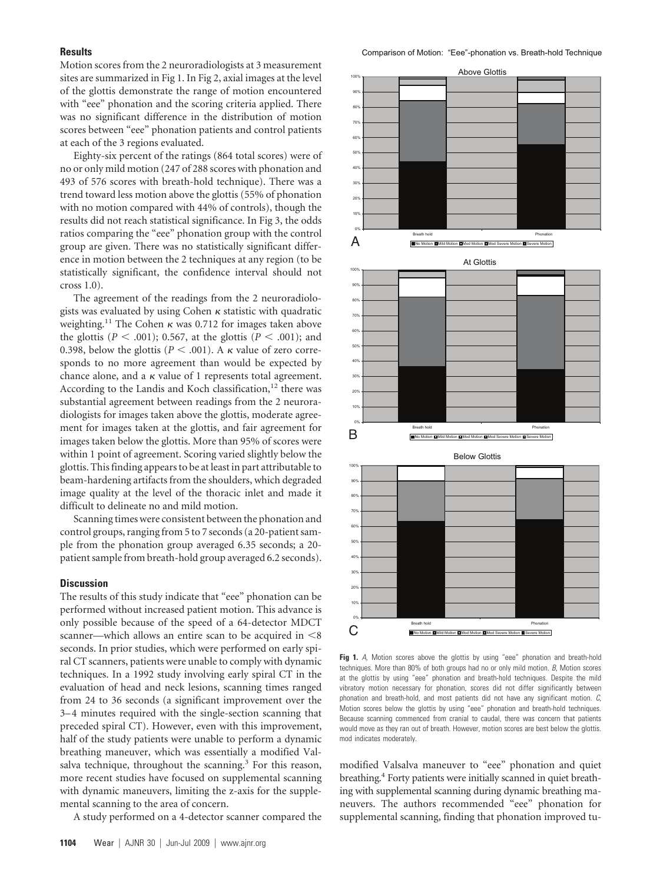# **Results**

Motion scores from the 2 neuroradiologists at 3 measurement sites are summarized in Fig 1. In Fig 2, axial images at the level of the glottis demonstrate the range of motion encountered with "eee" phonation and the scoring criteria applied. There was no significant difference in the distribution of motion scores between "eee" phonation patients and control patients at each of the 3 regions evaluated.

Eighty-six percent of the ratings (864 total scores) were of no or only mild motion (247 of 288 scores with phonation and 493 of 576 scores with breath-hold technique). There was a trend toward less motion above the glottis (55% of phonation with no motion compared with 44% of controls), though the results did not reach statistical significance. In Fig 3, the odds ratios comparing the "eee" phonation group with the control group are given. There was no statistically significant difference in motion between the 2 techniques at any region (to be statistically significant, the confidence interval should not cross 1.0).

The agreement of the readings from the 2 neuroradiologists was evaluated by using Cohen  $\kappa$  statistic with quadratic weighting.<sup>11</sup> The Cohen  $\kappa$  was 0.712 for images taken above the glottis ( $P < .001$ ); 0.567, at the glottis ( $P < .001$ ); and 0.398, below the glottis ( $P < .001$ ). A  $\kappa$  value of zero corresponds to no more agreement than would be expected by chance alone, and a  $\kappa$  value of 1 represents total agreement. According to the Landis and Koch classification,<sup>12</sup> there was substantial agreement between readings from the 2 neuroradiologists for images taken above the glottis, moderate agreement for images taken at the glottis, and fair agreement for images taken below the glottis. More than 95% of scores were within 1 point of agreement. Scoring varied slightly below the glottis. This finding appears to be at least in part attributable to beam-hardening artifacts from the shoulders, which degraded image quality at the level of the thoracic inlet and made it difficult to delineate no and mild motion.

Scanning times were consistent between the phonation and control groups, ranging from 5 to 7 seconds (a 20-patient sample from the phonation group averaged 6.35 seconds; a 20 patient sample from breath-hold group averaged 6.2 seconds).

### **Discussion**

The results of this study indicate that "eee" phonation can be performed without increased patient motion. This advance is only possible because of the speed of a 64-detector MDCT scanner—which allows an entire scan to be acquired in  $\leq 8$ seconds. In prior studies, which were performed on early spiral CT scanners, patients were unable to comply with dynamic techniques. In a 1992 study involving early spiral CT in the evaluation of head and neck lesions, scanning times ranged from 24 to 36 seconds (a significant improvement over the 3–4 minutes required with the single-section scanning that preceded spiral CT). However, even with this improvement, half of the study patients were unable to perform a dynamic breathing maneuver, which was essentially a modified Valsalva technique, throughout the scanning.<sup>3</sup> For this reason, more recent studies have focused on supplemental scanning with dynamic maneuvers, limiting the z-axis for the supplemental scanning to the area of concern.

A study performed on a 4-detector scanner compared the



Fig 1. A, Motion scores above the glottis by using "eee" phonation and breath-hold techniques. More than 80% of both groups had no or only mild motion. *B*, Motion scores at the glottis by using "eee" phonation and breath-hold techniques. Despite the mild vibratory motion necessary for phonation, scores did not differ significantly between phonation and breath-hold, and most patients did not have any significant motion. *C*, Motion scores below the glottis by using "eee" phonation and breath-hold techniques. Because scanning commenced from cranial to caudal, there was concern that patients would move as they ran out of breath. However, motion scores are best below the glottis. mod indicates moderately.

modified Valsalva maneuver to "eee" phonation and quiet breathing.<sup>4</sup> Forty patients were initially scanned in quiet breathing with supplemental scanning during dynamic breathing maneuvers. The authors recommended "eee" phonation for supplemental scanning, finding that phonation improved tu-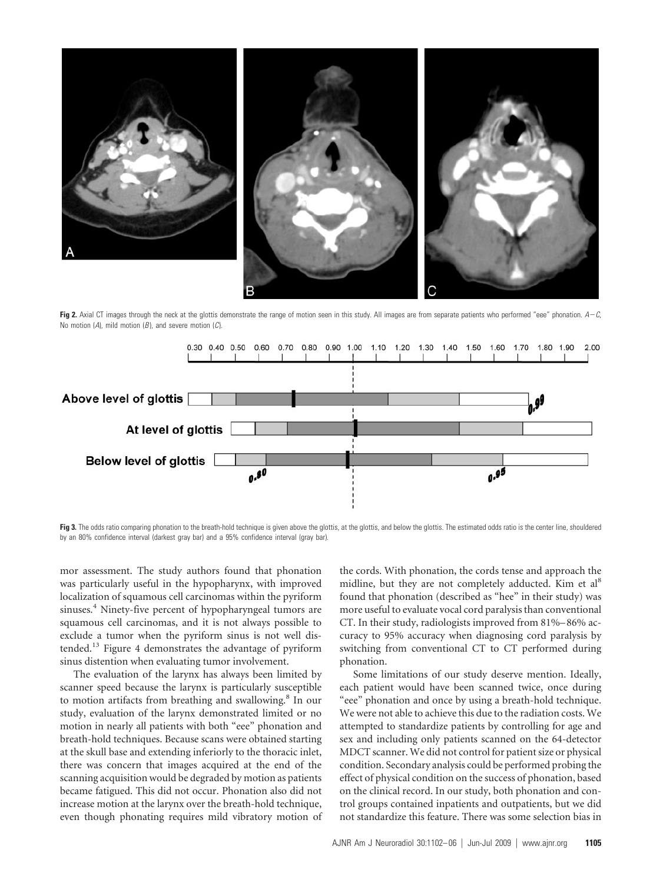

**Fig 2.** Axial CT images through the neck at the glottis demonstrate the range of motion seen in this study. All images are from separate patients who performed "eee" phonation. *AC*, No motion (*A*), mild motion (*B* ), and severe motion (*C*).



Fig 3. The odds ratio comparing phonation to the breath-hold technique is given above the glottis, at the glottis, and below the glottis. The estimated odds ratio is the center line, shouldered by an 80% confidence interval (darkest gray bar) and a 95% confidence interval (gray bar).

mor assessment. The study authors found that phonation was particularly useful in the hypopharynx, with improved localization of squamous cell carcinomas within the pyriform sinuses.<sup>4</sup> Ninety-five percent of hypopharyngeal tumors are squamous cell carcinomas, and it is not always possible to exclude a tumor when the pyriform sinus is not well distended.13 Figure 4 demonstrates the advantage of pyriform sinus distention when evaluating tumor involvement.

The evaluation of the larynx has always been limited by scanner speed because the larynx is particularly susceptible to motion artifacts from breathing and swallowing.8 In our study, evaluation of the larynx demonstrated limited or no motion in nearly all patients with both "eee" phonation and breath-hold techniques. Because scans were obtained starting at the skull base and extending inferiorly to the thoracic inlet, there was concern that images acquired at the end of the scanning acquisition would be degraded by motion as patients became fatigued. This did not occur. Phonation also did not increase motion at the larynx over the breath-hold technique, even though phonating requires mild vibratory motion of the cords. With phonation, the cords tense and approach the midline, but they are not completely adducted. Kim et al<sup>8</sup> found that phonation (described as "hee" in their study) was more useful to evaluate vocal cord paralysis than conventional CT. In their study, radiologists improved from 81%–86% accuracy to 95% accuracy when diagnosing cord paralysis by switching from conventional CT to CT performed during phonation.

Some limitations of our study deserve mention. Ideally, each patient would have been scanned twice, once during "eee" phonation and once by using a breath-hold technique. We were not able to achieve this due to the radiation costs. We attempted to standardize patients by controlling for age and sex and including only patients scanned on the 64-detector MDCT scanner. We did not control for patient size or physical condition. Secondary analysis could be performed probing the effect of physical condition on the success of phonation, based on the clinical record. In our study, both phonation and control groups contained inpatients and outpatients, but we did not standardize this feature. There was some selection bias in